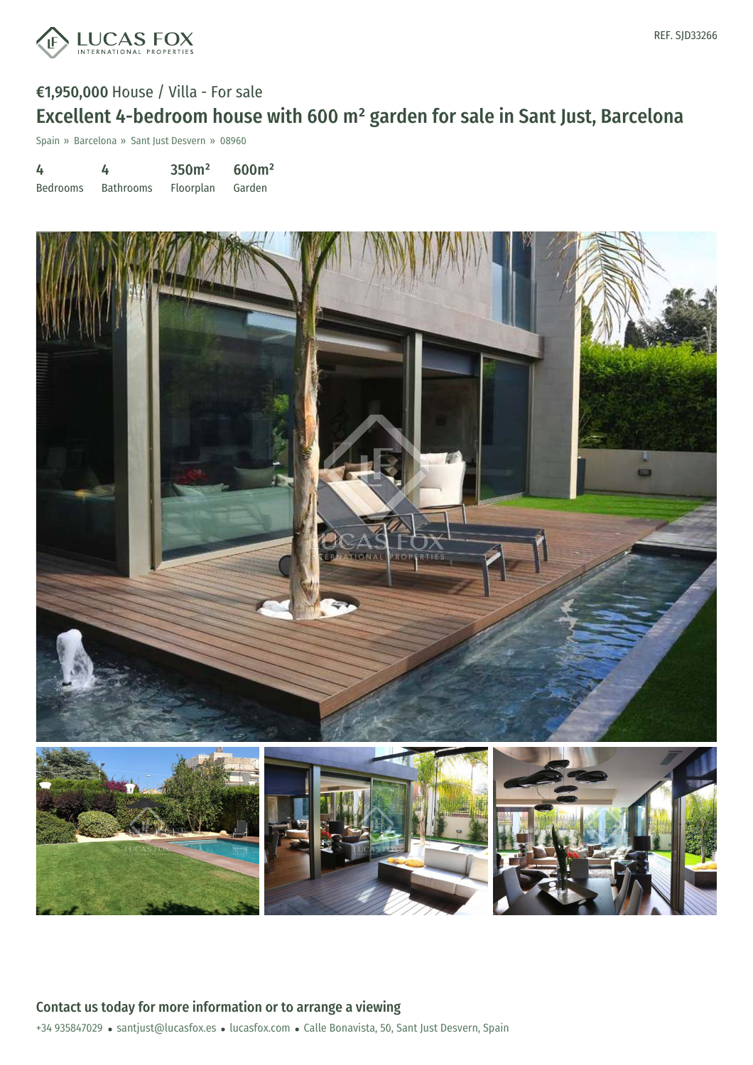

# €1,950,000 House / Villa - For sale Excellent 4-bedroom house with 600 m² garden for sale in Sant Just, Barcelona

Spain » Barcelona » Sant Just Desvern » 08960

4 Bedrooms 4 Bathrooms 350m² Floorplan 600m² Garden

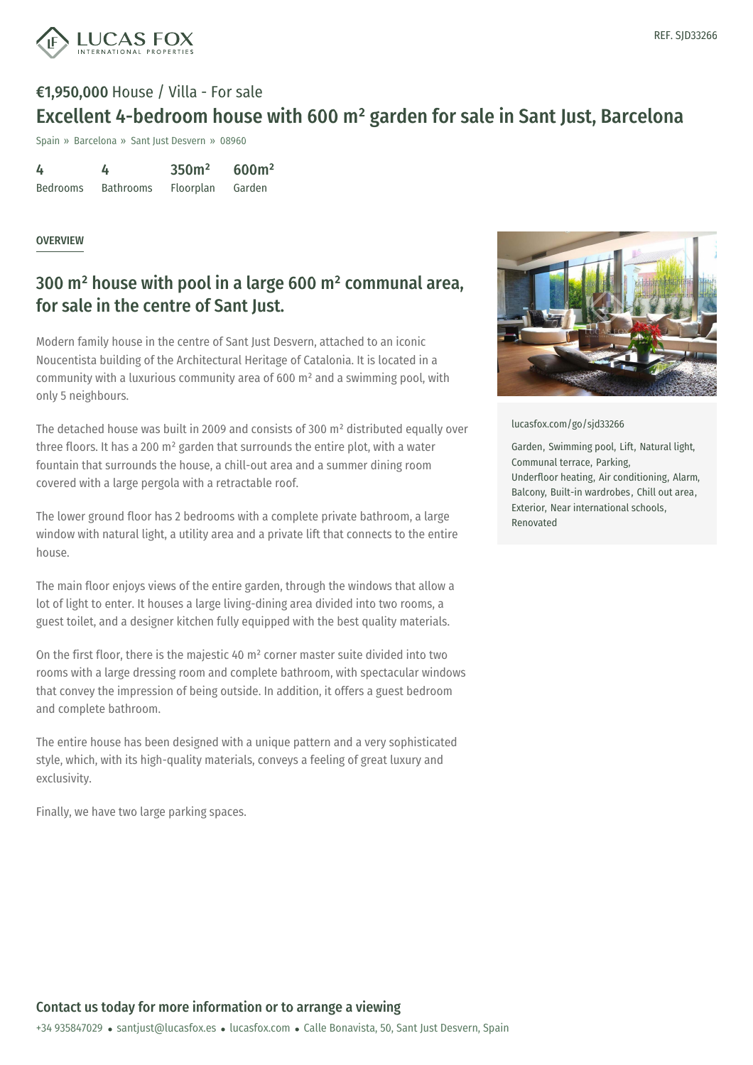

## €1,950,000 House / Villa - For sale Excellent 4-bedroom house with 600 m² garden for sale in Sant Just, Barcelona

Spain » Barcelona » Sant Just Desvern » 08960

| 4               | 4                | 350 <sup>m²</sup> | 600m <sup>2</sup> |
|-----------------|------------------|-------------------|-------------------|
| <b>Bedrooms</b> | <b>Bathrooms</b> | Floorplan         | Garden            |

#### **OVERVIEW**

### 300 m² house with pool in a large 600 m² communal area, for sale in the centre of Sant Just.

Modern family house in the centre of Sant Just Desvern, attached to an iconic Noucentista building of the Architectural Heritage of Catalonia. It is located in a community with a luxurious community area of 600 m² and a swimming pool, with only 5 neighbours.

The detached house was built in 2009 and consists of 300 m² distributed equally over three floors. It has a 200 m² garden that surrounds the entire plot, with a water fountain that surrounds the house, a chill-out area and a summer dining room covered with a large pergola with a retractable roof.

The lower ground floor has 2 bedrooms with a complete private bathroom, a large window with natural light, a utility area and a private lift that connects to the entire house.

The main floor enjoys views of the entire garden, through the windows that allow a lot of light to enter. It houses a large living-dining area divided into two rooms, a guest toilet, and a designer kitchen fully equipped with the best quality materials.

On the first floor, there is the majestic 40 m² corner master suite divided into two rooms with a large dressing room and complete bathroom, with spectacular windows that convey the impression of being outside. In addition, it offers a guest bedroom and complete bathroom.

The entire house has been designed with a unique pattern and a very sophisticated style, which, with its high-quality materials, conveys a feeling of great luxury and exclusivity.

Finally, we have two large parking spaces.



[lucasfox.com/go/sjd33266](https://www.lucasfox.com/go/sjd33266)

Garden, Swimming pool, Lift, Natural light, Communal terrace, Parking, Underfloor heating, Air conditioning, Alarm, Balcony, Built-in wardrobes, Chill out area, Exterior, Near international schools, Renovated